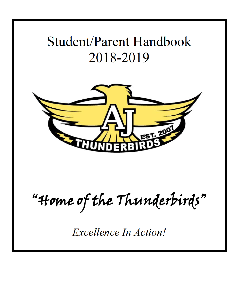# **Student/Parent Handbook** 2018-2019



"Home of the Thunderbirds"

**Excellence In Action!**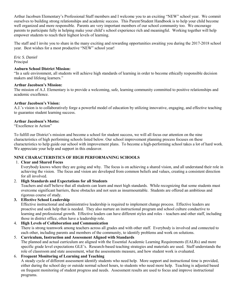Arthur Jacobsen Elementary's Professional Staff members and I welcome you to an exciting "NEW" school year. We commit ourselves to building strong relationships and academic success. This Parent/Student Handbook is to help your child become well organized and more responsible. Parents are very important members of our school community too. We encourage parents to participate fully in helping make your child's school experience rich and meaningful. Working together will help empower students to reach their highest levels of learning.

The staff and I invite you to share in the many exciting and rewarding opportunities awaiting you during the 2017-2018 school year. Best wishes for a most productive "NEW" school year!

*Eric S. Daniel*  Principal

#### **Auburn School District Mission:**

"In a safe environment, all students will achieve high standards of learning in order to become ethically responsible decision makers and lifelong learners."

#### **Arthur Jacobsen's Mission:**

The mission of A.J. Elementary is to provide a welcoming, safe, learning community committed to positive relationships and academic excellence.

## **Arthur Jacobsen's Vision:**

A.J.'s vision is to collaboratively forge a powerful model of education by utilizing innovative, engaging, and effective teaching to guarantee student learning success.

#### **Arthur Jacobsen's Motto:**

"Excellence in Action"

To fulfill our District's mission and become a school for student success, we will all focus our attention on the nine characteristics of high performing schools listed below. Our school improvement planning process focuses on these characteristics to help guide our school with improvement plans. To become a high-performing school takes a lot of hard work. We appreciate your help and support in this endeavor.

## **NINE CHARACTERISTICS OF HIGH PERFORMANING SCHOOLS**

#### 1. **Clear and Shared Focus**

 Everybody knows where they are going and why. The focus is on achieving a shared vision, and all understand their role in achieving the vision. The focus and vision are developed from common beliefs and values, creating a consistent direction for all involved.

## 2. **High Standards and Expectations for all Students**

Teachers and staff believe that all students can learn and meet high standards. While recognizing that some students must overcome significant barriers, these obstacles and not seen as insurmountable. Students are offered an ambitious and rigorous course of study.

## **3. Effective School Leadership**

Effective instructional and administrative leadership is required to implement change process. Effective leaders are proactive and seek help that is needed. They also nurture an instructional program and school culture conductive to learning and professional growth. Effective leaders can have different styles and roles – teachers and other staff, including those in district office, often have a leadership role.

## 4. **High Levels of Collaboration and Communication**

There is strong teamwork among teachers across all grades and with other staff. Everybody is involved and connected to each other, including parents and members of the community, to identify problems and work on solutions.

5. **Curriculum, Instruction and Assessment Aligned with Standards**  The planned and actual curriculum are aligned with the Essential Academic Learning Requirements (EALRs) and more specific grade level expectations GLE's. Research-based teaching strategies and materials are used. Staff understands the role of classroom and state assessment, what the assessments measure, and how student work is evaluated.

## 6. **Frequent Monitoring of Learning and Teaching**

A steady cycle of different assessment identify students who need help. More support and instructional time is provided, either during the school day or outside normal school hours, to students who need more help. Teaching is adjusted based on frequent monitoring of student progress and needs. Assessment results are used to focus and improve instructional programs.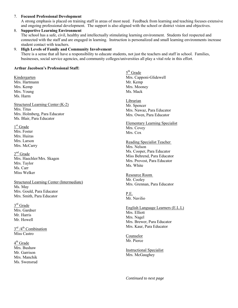## 7. **Focused Professional Development**

A strong emphasis is placed on training staff in areas of most need. Feedback from learning and teaching focuses extensive and ongoing professional development. The support is also aligned with the school or district vision and objectives.

#### 8. **Supportive Learning Environment** The school has a safe, civil, healthy and intellectually stimulating learning environment. Students feel respected and connected with the staff and are engaged in learning. Instruction is personalized and small learning environments increase student contact with teachers.

## 9. **High Levels of Family and Community Involvement**

There is a sense that all have a responsibility to educate students, not just the teachers and staff in school. Families, businesses, social service agencies, and community colleges/universities all play a vital role in this effort.

#### **Arthur Jacobsen's Professional Staff:**

Kindergarten Mrs. Hartmann Mrs. Kemp Mrs. Young Ms. Harm

Structured Learning Center (K-2) Mrs. Titus Mrs. Holmberg, Para Educator Ms. Blair, Para Educator

1<sup>st</sup> Grade Mrs. Foster Mrs. Huiras Mrs. Larson Mrs. McCarry

2<sup>nd</sup> Grade Mrs. Haechler/Mrs. Skagen Mrs. Taylor Ms. Carr Miss Welker

Structured Learning Center (Intermediate) Ms. May Mrs. Gould, Para Educator Mrs. Smith, Para Educator

3<sup>rd</sup> Grade Mrs. Gardner Mr. Harris Mr. Howell

3<sup>rd</sup> /4<sup>th</sup> Combination Miss Castro

4<sup>th</sup> Grade Mrs. Bushaw Mr. Garrison Mrs. Manchik Ms. Swensrud

5<sup>th</sup> Grade Mrs. Capponi-Glidewell Mr. Kemp Mrs. Mooney Ms. Mack

Librarian Mr. Spencer Mrs. Nawaz, Para Educator Mrs. Owen, Para Educator

Elementary Learning Specialist Mrs. Covey Mrs. Cox

Reading Specialist Teacher Mrs. Nelson Ms. Cooper, Para Educator Miss Behrend, Para Educator Mrs. Provost, Para Educator Ms. White

Resource Room Mr. Cooley Mrs. Grennan, Para Educator

P.E. Mr. Navilio

English Language Learners (E.L.L) Mrs. Elliott Mrs. Nagel Mrs. Brewer, Para Educator Mrs. Kaur, Para Educator

Counselor Mr. Pierce

Instructional Specialist Mrs. McGaughey

*Continued to next page*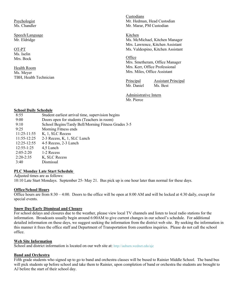Psychologist Ms. Chandler

Speech/Language Mr. Eldridge

OT-PT Ms. Iselin Mrs. Bock

Health Room Ms. Meyer TBH, Health Technician Custodians Mr. Hedman, Head Custodian Mr. Marar, PM Custodian

Kitchen Ms. McMichael, Kitchen Manager Mrs. Lawrence, Kitchen Assistant Ms. Valdespino, Kitchen Assistant

**Office** Mrs. Smetheram, Office Manager Mrs. Kerr, Office Professional Mrs. Miles, Office Assistant

**Principal Assistant Principal**<br>Mr Daniel Ms Best Mr. Daniel

Administrative Intern Mr. Pierce

#### **School Daily Schedule**

| 8:55           | Student earliest arrival time, supervision begins   |
|----------------|-----------------------------------------------------|
| 9:00           | Doors open for students (Teachers in room)          |
| 9:10           | School Begins/Tardy Bell/Morning Fitness Grades 3-5 |
| 9:25           | Morning Fitness ends                                |
| $11:25-11:55$  | K, 1, SLC Recess                                    |
| 11:55-12:25    | 2-3 Recess, K, 1, SLC Lunch                         |
| 12:25-12:55    | 4-5 Recess, 2-3 Lunch                               |
| $12:55 - 1:25$ | 4,5 Lunch                                           |
| $2:05 - 2:20$  | 1-2 Recess                                          |
| $2:20-2:35$    | K, SLC Recess                                       |
| 3.40           | Dismissal                                           |

#### **PLC Monday Late Start Schedule**

Adjusted times are as follows: 10:10 Late Start Mondays. September 25- May 21. Bus pick up is one hour later than normal for these days.

## **Office/School Hours**

Office hours are from 8:30 – 4:00. Doors to the office will be open at 8:00 AM and will be locked at 4:30 daily, except for special events.

## **Snow Day/Early Dismissal and Closure**

For school delays and closures due to the weather, please view local TV channels and listen to local radio stations for the information. Broadcasts usually begin around 6:00AM to give current changes in our school's schedule. For additional detailed information on these days, we suggest seeking the information from the district web site. By seeking the information in this manner it frees the office staff and Department of Transportation from countless inquiries. Please do not call the school office.

#### **Web Site Information**

School and district information is located on our web site at: [http://auburn.wednet.edu/aje](https://www.auburn.wednet.edu/aje)

#### **Band and Orchestra**

Fifth grade students who signed up to go to band and orchestra classes will be bused to Rainier Middle School. The band bus will pick students up before school and take them to Rainier, upon completion of band or orchestra the students are brought to AJ before the start of their school day.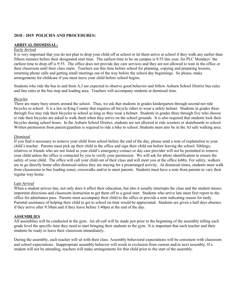#### **2018 - 2019 POLICIES AND PROCEDURES:**

#### **ARRIVAL/DISMISSAL:**

#### *Early Arrival*

It is very important that you do not plan to drop your child off at school or let them arrive at school if they walk any earlier than fifteen minutes before their designated start time. The earliest time to be on campus is 8:55 this year, for PLC Mondays' the earliest time to drop off is 9:55. The office does not provide day care services and they are not allowed to wait in the office or their classroom until their class starts. Teachers use this time before school for planning, copying and preparing lessons, returning phone calls and getting small meetings out of the way before the school day beginnings. So please, make arrangements for childcare if you must leave your child before school begins.

Students who ride the bus to and from A.J are expected to observe good behavior and follow Auburn School District bus rules and line rules at the bus stop and loading area. Teachers will accompany students at dismissal time.

#### *Bicycles*

There are many busy streets around the school. Thus, we ask that students in grades kindergarten through second not ride bicycles to school. It is a law in King County that requires all bicycle riders to wear a safety helmet. Students in grades three through five may ride their bicycles to school as long as they wear a helmet. Students in grades three through five who choose to ride their bicycles are asked to walk them when they arrive on the school grounds. It is also required that students lock their bicycles during school hours. In the Auburn School District, students are not allowed to ride scooters or skateboards to school. Written permission from parent/guardian is required to ride a bike to school. Students must also be in the AJ safe walking area.

#### *Dismissal*

If you find it necessary to remove your child from school before the end of the day, please send a note of explanation to your child's teacher. Parents must pick up their child in the office and sign their child out before leaving the school. Siblings, relatives or friends who are not listed as your child's emergency contact or day care provider will not be permitted to remove your child unless the office is contacted by you to verify your permission. We will ask for photo identification to ensure the safety of your child. The office will call your child out of their class and will meet you at the office lobby. For safety, walkers are to go directly home after dismissal unless they are staying for a prearranged activity. At dismissal times, students must walk from classrooms to bus loading zones, crosswalks and/or to meet parents. Students must have a note from parents to vary their regular way home.

#### *Late Arrival*

When a student arrives late, not only does it affect their education, but also it usually interrupts the class and the student misses important directions and classroom instruction to get them off to a good start. Students who arrive late must first report to the office for admittance pass. Parents must accompany their child to the office or provide a note indicating reason for tardy. Parental assistance of helping their child to get to school on time would be appreciated. Students are given a half days absence if they arrive after 9:30am and if they leave before 3:40pm at the end of the day.

### **ASSEMBLIES**

All assemblies will be conducted in the gym. An all-call will be made just prior to the beginning of the assembly telling each grade level the specific time they need to start bringing their students to the gym. It is important that each teacher and their students be ready to leave their classroom immediately.

During the assembly, each teacher will sit with their class. Assembly behavioral expectations will be consistent with classroom and school expectations. Inappropriate assembly behavior will result in exclusion from current and/or next assembly. If a student will not be attending, teachers will make arrangements for that child prior to the start of the assembly.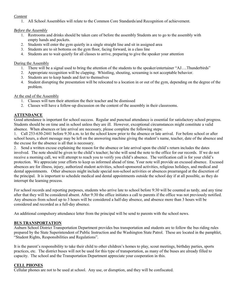## *Content*

1. All School Assemblies will relate to the Common Core Standards/and Recognition of achievement.

## *Before the Assembly*

- 1. Restrooms and drinks should be taken care of before the assembly Students are to go to the assembly with empty hands and pockets.
- 2. Students will enter the gym quietly in a single straight line and sit in assigned area
- 3. Students are to sit bottoms on the gym floor, facing forward, in a class line
- 4. Students are to wait quietly for all classes to arrive, preparing to give the speaker your attention

## During the Assembly

- 1. There will be a signal used to bring the attention of the students to the speaker/entertainer "AJ….Thunderbirds"
- 2. Appropriate recognition will be clapping. Whistling, shouting, screaming is not acceptable behavior.
- 3. Students are to keep hands and feet to themselves
- 4. Student disrupting the presentation will be relocated to a location in or out of the gym, depending on the degree of the problem.

## At the end of the Assembly

- 1. Classes will turn their attention the their teacher and be dismissed
- 2. Classes will have a follow-up discussion on the content of the assembly in their classrooms.

## **ATTENDANCE**

Good attendance is important for school success. Regular and punctual attendance is essential for satisfactory school progress. Students should be on time and in school unless they are ill. However, exceptional circumstances might constitute a valid absence. When absences or late arrival are necessary, please complete the following steps:

1. Call 253-630-2441 before 9:30 a.m. to let the school know prior to the absence or late arrival. For before school or after school hours, a short message may be left on the answering machine giving the student's name, teacher, date of the absence and the excuse for the absence is all that is necessary.

2. Send a written excuse explaining the reason for the absence or late arrival upon the child's return includes the dates involved. The note should be given to the child's teacher; he/she will send the note to the office for our records. If we do not receive a morning call, we will attempt to reach you to verify you child's absence. The verification call is for your child's protection. We appreciate your efforts to keep us informed ahead of time. Your note will provide an excused absence. Excused absences are for illness, injury, authorized student activities, school-sponsored activities, religious holidays, and medical and dental appointments. Other absences might include special non-school activities or absences prearranged at the discretion of the principal. It is important to schedule medical and dental appointments outside the school day if at all possible, as they do interrupt the learning process.

For school records and reporting purposes, students who arrive late to school before 9:30 will be counted as tardy, and any time after that they will be considered absent. After 9:30 the office initiates a call to parents if the office was not previously notified. Any absences from school up to 3 hours will be considered a half-day absence, and absence more than 3 hours will be considered and recorded as a full-day absence.

An additional compulsory attendance letter from the principal will be send to parents with the school news.

## **BUS TRANSPORTATION**

Auburn School District Transportation Department provides bus transportation and students are to follow the bus riding rules prepared by the State Superintendent of Public Instruction and the Washington State Patrol. These are located in the pamphlet, "Student Rights, Responsibilities and Regulations".

It is the parent's responsibility to take their child to other children's homes to play, scout meetings, birthday parties, sports practices, etc. The district buses will not be used for this type of transportation, as many of the buses are already filled to capacity. The school and the Transportation Department appreciate your cooperation in this.

## **CELL PHONES**

Cellular phones are not to be used at school. Any use, or disruption, and they will be confiscated.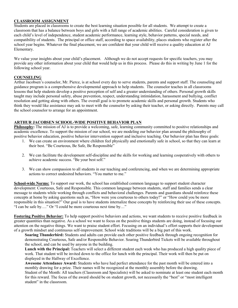## **CLASSROOM ASSIGNMENT**

Students are placed in classrooms to create the best learning situation possible for all students. We attempt to create a classroom that has a balance between boys and girls with a full range of academic abilities. Careful consideration is given to each child's level of independence, student academic performance, learning style, behavior patterns, special needs, and compatibility of students. The principal or office staff, according to space availability, places students who register after the school year begins. Whatever the final placement, we are confident that your child will receive a quality education at AJ Elementary.

We value your insights about your child's placement. Although we do not accept requests for specific teachers, you may provide any other information about your child that would help us in this process. Please do this in writing by June 1 for the following school year.

## **COUNSELING**

Arthur Jacobsen's counselor, Mr. Pierce, is at school every day to serve students, parents and support staff. The counseling and guidance program is a comprehensive developmental approach to help students. The counselor teaches in all classrooms lessons that help students develop a positive perception of self and a greater understanding of others. Personal growth skills taught may include personal safety, abuse prevention, respect, understanding intimidation, harassment and bullying, conflict resolution and getting along with others. The overall goal is to promote academic skills and personal growth. Students who think they would like assistance may ask to meet with the counselor by asking their teacher, or asking directly. Parents may call the school counselor to arrange for an appointment.

## **ARTHUR JACOBSEN SCHOOL-WIDE POSITIVE BEHAVIOR PLAN**

**Philosophy:** The mission of AJ is to provide a welcoming, safe, learning community committed to positive relationships and academic excellence. To support the mission of our school, we are modeling our behavior plan around the philosophy of positive behavior education, positive behavior intervention support and inclusive teaching. Our behavior plan has three goals:

- 1. We can create an environment where children feel physically and emotionally safe in school, so that they can learn at their best. "Be Courteous, Be Safe, Be Responsible"
- 2. We can facilitate the development self-discipline and the skills for working and learning cooperatively with others to achieve academic success. "Be your best self."
- 3. We can show compassion to all students in our teaching and conferencing, and when we are determining appropriate actions to correct undesired behaviors. "You matter to me."

**School-wide Norms:** To support our work, the school has established common language to support student character development: Courteous, Safe and Responsible. This common language between students, staff and families sends a clear message to students while working through conflicts and behavioral challenges. Parents and guardians should reinforce these concepts at home by asking questions such as, "How were you courteous to others today?" or "How could you be more responsible in this situation?" Our goal is to have students internalize these concepts by reinforcing their use of these concepts. "I can be safe by…." Or "I could be more courteous next time by…"

**Fostering Positive Behavior:** To help support positive behaviors and actions, we want students to receive positive feedback in greater quantities than negative. As a school we want to focus on the positive things students are doing, instead of focusing our attention on the negative things. We want to praise student effort. Focusing on an individual's effort supports their development of a growth mindset and continuous self-improvement. School wide traditions will be a big part of this work.

**Soaring Thunderbird:** Students and adults can provide each other positive feedback through ongoing recognition for demonstrating Courteous, Safe and/or Responsible Behavior. Soaring Thunderbird Tickets will be available throughout the school, and can be used by anyone in the building.

**Lunch with the Principal:** Teachers will select a different student each week who has produced a high quality piece of work. That student will be invited down to the office for lunch with the principal. Their work will then be put on displayed in the Hallway of Excellence.

**Awesome Attendance Award:** Students who have had perfect attendance for the past month will be entered into a monthly drawing for a prize. Their names will be recognized at the monthly assembly before the drawing. Student of the Month: All teachers (Classroom and Specialists) will be asked to nominate at least one student each month for this reward. The focus of the award should be on student growth, not necessarily the "best" or "most intelligent student" in the classroom.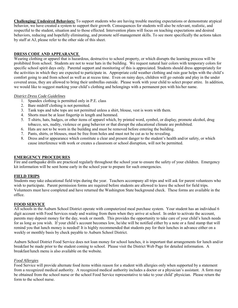**Challenging/ Undesired Behaviors:** To support students who are having trouble meeting expectations or demonstrate atypical behavior, we have created a system to support their growth. Consequences for students will also be relevant, realistic, and respectful to the student, situation and to those effected. Intervention plans will focus on teaching expectations and desired behaviors, reducing and hopefully eliminating, and promote self-management skills. To see more specifically the actions taken by staff at AJ, please refer to the other side of this sheet.

#### **DRESS CODE AND APPEARANCE**

Wearing clothing or apparel that is hazardous, destructive to school property, or which disrupts the learning process will be prohibited from school. Students are not to wear hats in the building. We request natural hair colors with temporary colors for specific school spirit days only. Parental support and monitoring of this is appreciated. Students should dress appropriately for the activities in which they are expected to participate in. Appropriate cold weather clothing and rain gear helps with the child's comfort going to and from school as well as at recess time. Even on rainy days, children will go outside and play in the under covered areas, they are allowed to bring their umbrellas outside. Please work with your child to select proper attire. In addition, we would like to suggest marking your child's clothing and belongings with a permanent pen with his/her name.

## *District Dress Code Guidelines*

- 1. Spandex clothing is permitted only in P.E. class
- 2. Bare midriff clothing is not permitted.
- 3. Tank tops and tube tops are not permitted unless a shirt, blouse, vest is worn with them.
- 4. Shorts must be at least fingertip in length and hemmed.
- 5. T-shirts, hats, badges, or other items of apparel which, by printed word, symbol, or display, promote alcohol, drug tobacco, sex, nudity, violence or gang behavior or that disrupt the educational climate are prohibited.
- 6. Hats are not to be worn in the building and must be removed before entering the building.
- 7. Pants, shirts, or blouses, must be free from holes and must not be cut as to be revealing.
- 8. Dress and/or appearance which constitute a clear and present danger to the student's health and/or safety, or which cause interference with work or creates a classroom or school disruption, will not be permitted.

## **EMERGENCY PROCEDURES**

Fire and earthquake drills are practiced regularly throughout the school year to ensure the safety of your children. Emergency kit information will be sent home early in the school year to prepare for such emergencies.

## **FIELD TRIPS**

Students may take educational field trips during the year. Teachers accompany all trips and will ask for parent volunteers who wish to participate. Parent permission forms are required before students are allowed to leave the school for field trips. Volunteers must have completed and have returned the Washington State background check. These forms are available in the office.

## **FOOD SERVICE**

All schools in the Auburn School District operate with computerized meal purchase system. Your student has an individual 6 digit account with Food Services ready and waiting from them when they arrive at school. In order to activate the account, parents may deposit money for the day, week or month. This provides the opportunity to take care of your child's lunch needs for as long as you wish. If your child's account becomes low, he/she will be notified either by a note or a fund stamp that will remind you that lunch money is needed! It is highly recommended that students pay for their lunches in advance either on a weekly or monthly basis by check payable to Auburn School District.

Auburn School District Food Service does not loan money for school lunches, it is important that arrangements for lunch and/or breakfast be made prior to the student coming to school. Please visit the District Web Page for detailed information. A breakfast/lunch menu is also available on the website.

#### *Food Allergies*

Food Service will provide alternate food items within reason for a student with allergies only when supported by a statement from a recognized medical authority. A recognized medical authority includes a doctor or a physician's assistant. A form may be obtained from the school nurse or the school Food Service representative to take to your child' physician. Please return the form to the school nurse.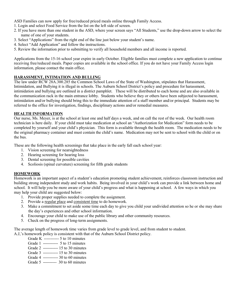ASD Families can now apply for free/reduced priced meals online through Family Access.

- 1. Login and select Food Service from the list on the left side of screen.
- 2. If you have more than one student in the ASD, where your screen says "All Students," use the drop-down arrow to select the name of one of your students.
- 3. Select "Applications" from the right end of the line just below your student's name.
- 4. Select "Add Application" and follow the instructions.
- 5. Review the information prior to submitting to verify all household members and all income is reported.

Applications from the 15-16 school year expire in early October. Eligible families must complete a new application to continue receiving free/reduced meals. Paper copies are available in the school office. If you do not have your Family Access login information, please contact the main office.

## **HARASSMENT, INTIMATION AND BULLING**

The law under RCW 28A.300.285 the Common School Laws of the State of Washington, stipulates that Harassment, Intimidation, and Bullying it is illegal in schools. The Auburn School District's policy and procedure for harassment, intimidation and bullying are outlined in a district pamphlet. These will be distributed to each home and are also available in the communication rack in the main entrance lobby. Students who believe they or others have been subjected to harassment, intimidation and/or bullying should bring this to the immediate attention of a staff member and/or principal. Students may be referred to the office for investigation, findings, disciplinary actions and/or remedial measures.

## **HEALTH INFORMATION**

Our nurse, Ms. Meyer, is at the school at least one and half days a week, and on call the rest of the week. Our health room technician is here daily. If your child must take medication at school an "Authorization for Medication" form needs to be completed by yourself and your child's physician. This form is available through the health room. The medication needs to be the original pharmacy container and must contain the child's name. Medication may not be sent to school with the child or on the bus.

These are the following health screenings that take place in the early fall each school year:

- 1. Vision screening for nearsightedness
- 2. Hearing screening for hearing loss
- 3. Dental screening for possible cavities
- 4. Scoliosis (spinal curvature) screening for fifth grade students

## **HOMEWORK**

Homework is an important aspect of a student's education promoting student achievement, reinforces classroom instruction and building strong independent study and work habits. Being involved in your child's work can provide a link between home and school. It will help you be more aware of your child's progress and what is happening at school. A few ways in which you may help your child are suggested below:

- 1. Provide proper supplies needed to complete the assignment.
- 2. Provide a regular place and consistent time to do homework.
- 3. Make a commitment to set aside some time each day to give you child your undivided attention so he or she may share the day's experiences and other school information.
- 4. Encourage your child to make use of the public library and other community resources.
- 5. Check on the progress of long-term assignments.

The average length of homework time varies from grade level to grade level, and from student to student.

A.J,'s homework policy is consistent with that of the Auburn School District policy.

- Grade K ----------- 5 to 10 minutes
- Grade 1 ----------- 5 to 15 minutes
- Grade 2 ----------- 15 to 30 minutes
- Grade 3 ----------- 15 to 30 minutes
- Grade 4 ----------- 30 to 60 minutes
- Grade 5 ---------- 30 to 60 minutes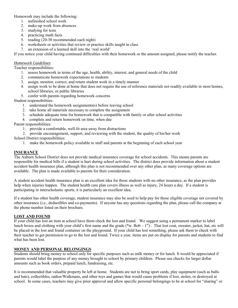Homework may include the following:

- 1. unfinished school work
- 2. make-up work from absences
- 3. studying for tests
- 4. practicing math facts
- 5. reading (20-30 recommended each night)
- 6. worksheets or activities that review or practice skills taught in class
- 7. an extension of a learned skill into the 'real world'

If you notice your child having continued difficulties with their homework or the amount assigned, please notify the teacher.

## *Homework Guidelines*

Teacher responsibilities:

- 1. assess homework in terms of the age, health, ability, interest, and general needs of the child
- 2. communicate homework expectations to students
- 3. assign, monitor, correct, and return student work in a timely manner
- 4. assign work to be done at home that does not require the use of reference materials not readily available in most homes, school libraries, or public libraries
- 5. confer with parents regarding homework concerns

Student responsibilities:

- 1. understand the homework assignments(s) before leaving school
- 2. take home all materials necessary to complete the assignment
- 3. schedule adequate time for homework that is compatible with family or after school activities
- 4. complete and return homework on time, when due

Parent responsibilities:

- 1. provide a comfortable, well-lit area away from distractions
- 2. provide encouragement, support, and reviewing with the student, the quality of his/her work

School District responsibilities:

1. make the homework policy available to staff and parents at the beginning of each school year

## **INSURANCE**

The Auburn School District does not provide medical insurance coverage for school accidents. This means parents are responsible for medical bills if a student is hurt during school activities. The district does provide information about a student accident health insurance plan, although this plan is not recommended over any other plan, as many coverage options are available. The plan is made available to parents for their consideration.

A student accident health insurance plan is an excellent idea for those students with no other insurance, as the plan provides help when injuries happen. The student health care plan covers illness as well as injury, 24 hours a day. If a student is participating in interscholastic sports, it is particularly an excellent idea.

If a student has other health coverage, student insurance may also be used to help pay for those eligible coverage not covered by other insurance (i.e., deductibles and co-payments). If anyone has any questions regarding the plan, please call the company at the phone number listed on their brochure.

## **LOST AND FOUND**

If your child has lost an item at school have them check the lost and found. We suggest using a permanent marker to label lunch boxes and clothing with your child's first name and the grade (\*ie.  $Bob - 1<sup>st</sup>$ ). That lost coat, sweater, jacket, hat, etc will be placed in the lost and found container on the playground. If your child has lost something, please ask them to check with their teacher to get permission to go to the lost and found. Twice a year, items are put on display for parents and students to find what has been lost.

## **MONEY AND PERSONAL BELONGINGS**

Students should bring money to school only for specific purposes such as milk money or for lunch. It would be appreciated if parents would label the purpose of any money brought to school by primary children. Please use checks for larger dollar amounts such as book orders, prepaid lunch, fundraising, etc.

It is recommended that valuable property be left at home. Students are not to bring sport cards, play equipment (such as balls and bats), collectibles, radios/Walkmans, and other toys and games that would cause problems if lost, stolen, or destroyed at school. In some cases, teachers may give prior approval and allow specific personal belongings to be at school for "sharing" or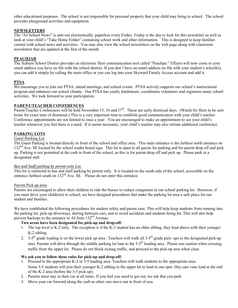other educational purposes. The school is not responsible for personal property that your child may bring to school. The school provides playground activities and equipment.

## **NEWSLETTERS**

The "AJ School News" is sent out electronically, paperless every Friday. Friday is the day to look for this newsletter as well as look at your child's "Take Home Folder" containing school work and other information. This is designed to keep families current with school news and activities. You may also view the school newsletters on the web page along with classroom newsletters that are updated at the first of the month.

## **PEACHJAR**

The Auburn School District provides an electronic flyer communication tool called "Peachjar." Eflyers will now come to your email address you have on file with the school district. If you don't have an email address on file with your student's school(s), you can add it simply by calling the main office or you can log into your Skyward Family Access account and add it.

## **PTSA**

We encourage you to join our PTSA, attend meetings, and school events. PTSA actively supports our school's instructional program and enhances our school climate. Our PTSA has yearly fundraisers, coordinates volunteers and organizes many school activities. We look forward to your participation.

## **PARENT/TEACHER CONFERENCES**

Parent/Teacher Conferences will be held November 15, 16 and  $17<sup>th</sup>$ . These are early dismissal days. (Watch for fliers to be sent home for exact time of dismissal.) This is a very important time to establish good communication with your child's teacher. Conference appointments are not limited to once a year. You are encouraged to make an appointment to see your child's teacher whenever you feel there is a need. If it seems necessary, your child's teacher may also initiate additional conference.

## **PARKING LOTS**

## *Guest Parking Lot*

The Guest Parking is located directly in front of the school and office area. This main entrance is the furthest north entrance on  $132<sup>nd</sup>$  Ave. SE located by the school reader board sign. This lot is open to all guests for parking and for parent drop off and pick up. Parking is not permitted at the curb in front of the school, as this is for parent drop off and pick up. Please park in a designated stall.

## *Bus and Staff parking by permit only Lot.*

This lot is restricted to bus and staff parking by permit only. It is located on the south side of the school, accessible on the entrance furthest south on 132<sup>nd</sup> Ave. SE. Please do not enter this entrance.

## *Parent Pick up area*

Parents are encouraged to allow their children to ride the busses to reduce congestion in our school parking lot. However, if you must drive your child(ren) to school, we have designed procedures that make the parking lot area a safe place for our student and families.

We have established the following procedures for student safety and parent ease. This will help keep students from running into the parking lot, pick-up driveways, darting between cars, and to avoid accidents and students being hit. This will also help prevent backups to the entrance to AJ from 132<sup>nd</sup> Avenue.

## **Two areas have been designated for pick-up and drop-off:**

- 1. The top level is K-2 only. The exception is if the K-2 student has an older sibling, they load above with their younger K-2 sibling.
- 2. 3-5<sup>th</sup> grade loading is on the lower pick up area. Teachers will walk all 3-5<sup>th</sup> grade pick- ups to the designated pick-up area. Parents will drive through the middle parking lot lane to the 3-5<sup>th</sup> loading area. Please use caution when crossing traffic from the upper lot. Please do not block exiting traffic, and proceed to the pick-up area when clear.

## **We ask you to follow these rules for pick-up and drop-off:**

- 1. Proceed to the appropriate K-2 or 3-5 loading area. Teachers will walk students to the appropriate area. Some 3-5 students will join their younger K-2 sibling in the upper lot to load in one spot. Day care vans load at the end of the K-2 area (before the 3-5 pick-up).
- 2. Parents must stay in their car at all times. If you feel you need to get out, we ask that you park.
- 3. Move your car forward along the curb as other cars move out in front of you.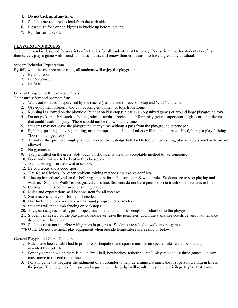- 4. Do not back up at any time.
- 5. Students are required to load from the curb side.
- 6. Please wait for your child(ren) to buckle up before leaving.
- 7. Pull forward to exit.

## **PLAYGROUND/RECESS**

The playground is designed for a variety of activities for all students at AJ to enjoy. Recess is a time for students to refresh themselves, play a game with friends and classmates, and renew their enthusiasm to have a great day at school.

#### Student Behavior Expectations

By following theses three basic rules, all students will enjoy the playground:

- 1. Be Courteous
- 2. Be Responsible
- 3. Be Safe

#### General Playground Rules/Expectations

To ensure safety and promote fun:

- 1. Walk out to recess (supervised by the teacher), at the end of recess, "Stop and Walk" at the bell.
- 2. Use equipment properly and do not bring equipment or toys from home.
- 3. Running is allowed on the playfield, but not on blacktop (unless in an organized game) or around large playground toys.
- 4. Do not pick up debris such as bottles, sticks, sawdust, rocks, etc. Inform playground supervisor of glass or other debris that could result in injury. These should not be thrown at any time.
- 5. Students may not leave the playground at any time without a pass from the playground supervisor.
- 6. Fighting, pushing, shoving, spitting, or inappropriate touching of others will not be tolerated. No fighting or play fighting. "Don't touch-get help".
- 7. Activities that promote rough play such as red rover, dodge ball, tackle football, wrestling, play weapons and karate are not allowed.
- 8. No gymnastics.
- 9. Tag permitted on the grass. Soft touch on shoulder is the only acceptable method to tag someone.
- 10. Food and drink are to be kept in the classroom.
- 11. Gum chewing is not allowed at school.
- 12. Be courteous and a good sport.
- 13. Use Kelso Choices (or other problem solving methods) to resolve conflicts:
- 14. Line up immediately when the bell rings, not before. Follow "stop & walk" rule. Students are to stop playing and walk in, "Stop and Walk" to designated class line. Students do not have permission to touch other students in line.
- 15. Cutting in line is not allowed or saving places.
- 16. Rules and expectations will be consistent for all recesses.
- 17. See a recess supervisor for help if needed.
- 18. No climbing on or over brick wall around playground perimeter.
- 19. Students will not climb fencing or backstops
- 20. Toys, cards, games, balls, jump ropes, equipment must not be brought to school or to the playground.
- 21. Students must stay on the playground and never leave the perimeter, down the stairs, service drive, and maintenance drive or over brick wall.
- 22. Students must not interfere with games in progress. Students are asked to walk around games.
- \*\*NOTE: Do not use metal play equipment when outside temperature is freezing or below.

#### General Playground Game Guidelines

- 1. Rules have been established to promote participation and sportsmanship; no special rules are to be made up or invented by students.
- 2. For any game in which there is a line (wall ball, box hockey, tetherball, etc.), players winning three games in a row must move to the end of the line.
- 3. For any game that requires the judgment of a bystander to help determine a winner, the first person waiting in line is the judge. The judge has final say, and arguing with the judge will result in losing the privilege to play that game.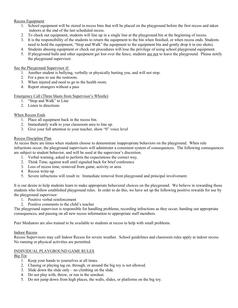## Recess Equipment

- 1. School equipment will be stored in recess bins that will be placed on the playground before the first recess and taken indoors at the end of the last scheduled recess.
- 2. To check out equipment, students will line up in a single line at the playground bin at the beginning of recess.
- 3. It is the responsibility of the students to return the equipment to the bin when finished, or when recess ends. Students need to hold the equipment, "Stop and Walk" the equipment to the equipment bin and gently drop it in (no shots).
- 4. Students abusing equipment or check out procedures will lose the privilege of using school playground equipment.
- 5. If playground balls and other equipment get lost over the fence, students are not to leave the playground. Please notify the playground supervisor.

## See the Playground Supervisor if:

- 1. Another student is bullying, verbally or physically hurting you, and will not stop.
- 2. For a pass to use the restroom.
- 3. When injured and need to go to the health room.
- 4. Report strangers without a pass

## Emergency Call (Three blasts from Supervisor's Whistle)

- 1. "Stop and Walk" to Line
- 2. Listen to directions

## When Recess Ends

- 1. Place all equipment back in the recess bin.
- 2. Immediately walk to your classroom area to line up.
- 3. Give your full attention to your teacher, show "0" voice level

## Recess Discipline Plan

At recess there are times when students choose to demonstrate inappropriate behaviors on the playground. When rule infractions occur, the playground supervisors will administer a consistent system of consequences. The following consequences are subject to student behavior, and will be used at the supervisor's discretion.

- 1. Verbal warning, asked to perform the expectations the correct way.
- 2. Think Time, against wall until signaled back for brief conference
- 3. Loss of recess time, removed from game, activity or area.
- 4. Recess write-up
- 5. Severe infractions will result in: Immediate removal from playground and principal involvement.

It is our desire to help students learn to make appropriate behavioral choices on the playground. We believe in rewarding those students who follow established playground rules. In order to do this, we have set up the following positive rewards for use by the playground supervisor:

- 1. Positive verbal reinforcement
- 2. Positive comments to the child's teacher

The playground supervisor is responsible for handling problems, recording infractions as they occur, handing out appropriate consequences, and passing on all new recess information to appropriate staff members.

Peer Mediators are also trained to be available to students at recess to help with small problems.

## Indoor Recess

Recess Supervisors may call Indoor Recess for severe weather. School guidelines and classroom rules apply at indoor recess. No running or physical activities are permitted.

## INDIVIDUAL PLAYGROUND GAME RULES

## *Big Toy*

- 1. Keep your hands to yourselves at all times.
- 2. Chasing or playing tag on, through, or around the big toy is not allowed.
- 3. Slide down the slide only no climbing on the slide.
- 4. Do not play with, throw, or run in the sawdust.
- 5. Do not jump down from high places, the walls, slides, or platforms on the big toy.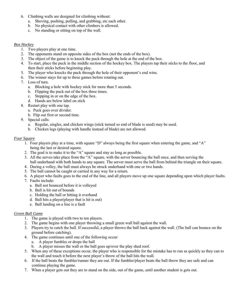- 6. Climbing walls are designed for climbing without:
	- a. Shoving, pushing, pulling, and grabbing, etc each other.
	- b. No physical contact with other climbers is allowed.
	- c. No standing or sitting on top of the wall.

## *Box Hockey*

- 1. Two players play at one time.
- 2. The opponents stand on opposite sides of the box (not the ends of the box).
- 3. The object of the game is to knock the puck through the hole at the end of the box.
- 4. To start, place the puck in the middle section of the hockey box. The players tap their sticks to the floor, and then their sticks before beginning play.
- 5. The player who knocks the puck through the hole of their opponent's end wins.
- 6. The winner stays for up to three games before rotating out.
- 7. Loss of turn.
	- a. Blocking a hole with hockey stick for more than 5 seconds.
	- b. Flipping the puck out of the box three times.
	- c. Stepping in or on the edge of the box.
	- d. Hands are below label on stick
- 8. Restart play with one tap.
	- a. Puck goes over divider.
	- b. Flip out first or second time.
- 9. Special calls:
	- a. Regular, singles, and chicken wings (stick turned so end of blade is used) may be used.
	- b. Chicken legs (playing with handle instead of blade) are not allowed.

## *Four Square*

- 1. Four players play at a time, with square "D" always being the first square when entering the game, and "A" being the last or desired square.
- 2. The goal is to make it to the "A" square and stay as long as possible.
- 3. All the serves take place from the "A" square, with the server bouncing the ball once, and then serving the ball underhand with both hands to any square. The server must serve the ball from behind the triangle on their square.
- 4. During a volley, the ball must always be struck underhand with one or two hands.
- 5. The ball cannot be caught or carried in any way for a return.
- 6. A player who faults goes to the end of the line, and all players move up one square depending upon which player faults.
- 7. Faults include:
	- a. Ball not bounced before it is volleyed
	- b. Ball is hit out of bounds
	- c. Holding the ball or hitting it overhand
	- d. Ball hits a player(player that is hit is out)
	- e. Ball landing on a line is a fault

## *Green Ball Game*

- 1. The game is played with two to ten players.
- 2. The game begins with one player throwing a small green wall ball against the wall.
- 3. Players try to catch the ball. If successful, a player throws the ball back against the wall. (The ball can bounce on the ground before catching).
- 4. The game continues until one of the following occur:
	- a. A player fumbles or drops the ball
	- b. A player misses the wall or the ball goes up/over the play shed roof.
- 5. When any of these exceptions occur, the player who is responsible for the mistake has to run as quickly as they can to the wall and touch it before the next player's throw of the ball hits the wall.
- 6. If the ball beats the fumbler/runner they are out. If the fumbler/player beats the ball throw they are safe and can continue playing the game.
- 7. When a player gets out they are to stand on the side, out of the game, until another student is gets out.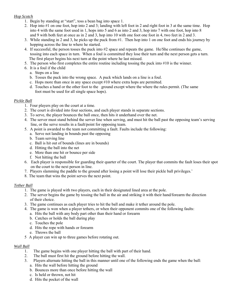## *Hop Scotch*

- 1. Begin by standing at "start", toss a bean bag into space 1.
- 2. Hop into #1 on one foot, hop into 2 and 3; landing with left foot in 2 and right foot in 3 at the same time. Hop into 4 with the same foot used in 1, hops into 5 and 6 as into 2 and 3, hop into 7 with one foot, hop into 8 and 9 with both feet at once as in 2 and 3, hop into 10 with one foot one foot in 4, two feet in 2 and 3.
- 3. While standing in 2 and 3, he picks up the puck from #1. Then hop into 1 on one foot and ends his journey by hopping across the line to where he started.
- 4. If successful, the person tosses the puck into #2 space and repeats the game. He/She continues the game, tossing into each space in turn. When a foul is committed they lose their turn and the next person gets a turn. The first player begins his next turn at the point where he last missed.
- 5. The person who first completes the entire routine including tossing the puck into #10 is the winner.
- 6. It is a foul if the child
	- a. Steps on a line
	- b. Tosses the puck into the wrong space. A puck which lands on a line is a foul.
	- c. Hops more than once in any space except #10 where extra hops are permitted.
	- d. Touches a hand or the other foot to the ground except where the where the rules permit. (The same foot must be used for all single space hops).

## *Pickle Ball*

- 1. Four players play on the court at a time.
- 2. The court is divided into four sections, and each player stands in separate sections.
- 3. To serve, the player bounces the ball once, then hits it underhand over the net.
- 4. The server must stand behind the server line when serving, and must hit the ball past the opposing team's serving line, or the serve results in a fault/point for opposing team.
- 5. A point is awarded to the team not committing a fault. Faults include the following:
	- a. Serve not landing in bounds past the opposing
	- b. Team serving line
	- c. Ball is hit out of bounds (lines are in bounds)
	- d. Hitting the ball into the net
	- e. More than one hit or bounce per side
	- f. Not hitting the ball
- 6. Each player is responsible for guarding their quarter of the court. The player that commits the fault loses their spot on the court to the next person in line.
- 7. Players slamming the paddle to the ground after losing a point will lose their pickle ball privileges.'
- 8. The team that wins the point serves the next point.

## *Tether Ball*

- 1. The game is played with two players, each in their designated lined area at the pole.
- 2. The server begins the game by tossing the ball in the air and striking it with their hand/forearm the direction of their choice.
- 3. The game continues as each player tries to hit the ball and make it tether around the pole.
- 4. The game is won when a player tethers, or when their opponent commits one of the following faults:
	- a. Hits the ball with any body part other than their hand or forearm
	- b. Catches or holds the ball during play
	- c. Touches the pole
	- d. Hits the rope with hands or forearm
	- e. Throws the ball
- 5 A player can win up to three games before rotating out.

## *Wall Ball*

- 1. The game begins with one player hitting the ball with part of their hand.
- 2. The ball must first hit the ground before hitting the wall.
- 3. Players alternate hitting the ball in this manner until one of the following ends the game when the ball:
	- a. Hits the wall before hitting the ground
	- b. Bounces more than once before hitting the wall
	- c. Is held or thrown, not hit
	- d. Hits the pocket of the wall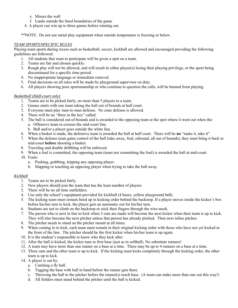- e. Misses the wall
- f. Lands outside the lined boundaries of the game
- 4. A player can win up to three games before rotating out.

\*\*NOTE: Do not use metal play equipment when outside temperature is freezing or below.

## *TEAM SPORTS/SPECIFIC RULES*

Playing team sports during recess such as basketball, soccer, kickball are allowed and encouraged providing the following guidelines are followed:

- 1. All students that want to participate will be given a spot on a team.
- 2. Teams are fair and chosen quickly.
- 3. Rough play will not be allowed, and will result in either player(s) losing their playing privilege, or the sport being discontinued for a specific time period.
- 4. No inappropriate language or immediate removal.
- 5. Final decisions on all rules will be made by playground supervisor on duty.
- 6. All players showing poor sportsmanship or who continue to question the calls, will be banned from playing.

## *Basketball (Half-court only)*

- 1. Teams are to be picked fairly, no more than 5 players to a team.
- 2. Games starts with one team taking the ball out of bounds at half court.
- 3. Everyone must play man-to-man defense. No zone defense is allowed.
- 4. There will be no "three in the key" called.
- 5. The ball is considered out-of-bounds and is awarded to the opposing team at the spot where it went out when the: a. Offensive team re-crosses the mid-court line.
	- b. Ball and/or a player goes outside the white line.
- 6. When a basket is made, the defensive team is awarded the ball at half court. There will be **no** "make it, take it"
- 7. When the defense team gains control of the ball (take away, foul, rebound, all out of bounds), they must bring it back to mid-court **before** shooting a basket.
- 8. Traveling and double dribbling will be enforced.
- 9. When a foul is committed, the opposing team (team not committing the foul) is awarded the ball at mid-court.
- 10. Fouls:
	- a. Pushing, grabbing, tripping any opposing player.
	- b. Slapping or touching an opposing player when trying to take the ball away.

## *Kickball*

- 1. Teams are to be picked fairly.
- 2. New players should join the team that has the least number of players.
- 3. There will be no all time outfielders.
- 4. Use only the school's equipment provided for kickball (4 bases, yellow playground ball).
- 5. The kicking team must remain lined up in kicking order behind the backstop. If a player moves inside the kicker's box before his/her turn to kick, the player gets an automatic out for his/her turn.
- 6. Students are not to climb on the backstop or stick their fingers through the wire mesh.
- 7. The person who is next in line to kick when 3 outs are made will become the next kicker when their team is up to kick. They will also become the next pitcher unless that person has already pitched. Then next inline pitches.
- 8. The pitcher needs to stand on the pitcher mount at all times.
- 9. When coming in to kick, each team must remain in their original kicking order with those who have not yet kicked in the front of the line. The pitcher should be the first kicker when his/her team is up again.
- 10. It is the student's responsible to know who they kick after.
- 11. After the ball is kicked, the kicker runs to first base (just as in softball). No substitute runners!
- 12. A team may have more than one runner on a base at a time. There may be up to 4 runners on a base at a time.
- 13. Three outs and the other team is up to kick. If the kicking team kicks completely through the kicking order, the other team is up to kick.
- 14. A player is out by:
	- a. Catching a fly ball.
	- b. Tagging the base with ball in hand before the runner gets there.
	- c. Throwing the ball to the pitcher before the runner(s) reach base. (A team can make more than one out this way!)
	- d. All fielders must stand behind the pitcher until the ball is kicked.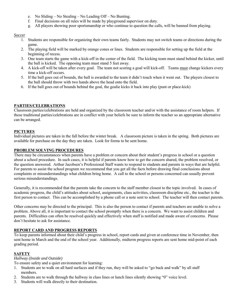- e. No Sliding No Stealing No Leading Off No Bunting.
- f. Final decisions on all rules will be made by playground supervisor on duty.
- g. All players showing poor sportsmanship or who continue to question the calls, will be banned from playing.

## *Soccer*

- 1. Students are responsible for organizing their own teams fairly. Students may not switch teams or directions during the game.
- 2. The playing field will be marked by orange cones or lines. Students are responsible for setting up the field at the beginning of recess.
- 3. One team starts the game with a kick-off in the center of the field. The kicking team must stand behind the kicker, until the ball is kicked. The opposing team must stand 5 feet away.
- 4. A kick-off will be taken after every goal. The team not scoring a goal will kick-off. Teams must change kickers every time a kick-off occurs.
- 5. If the ball goes out of bounds, the ball is awarded to the team it didn't touch when it went out. The players closest to the ball should throw with two hands above the head onto the field.
- 6. If the ball goes out of bounds behind the goal, the goalie kicks it back into play (punt or place-kick)

## **PARTIES/CELEBRATIONS**

Classroom parties/celebrations are held and organized by the classroom teacher and/or with the assistance of room helpers. If these traditional parties/celebrations are in conflict with your beliefs be sure to inform the teacher so an appropriate alternative can be arranged.

## **PICTURES**

Individual pictures are taken in the fall before the winter break. A classroom picture is taken in the spring. Both pictures are available for purchase on the day they are taken. Look for forms to be sent home.

## **PROBLEM SOLVING PROCEDURES**

There may be circumstances when parents have a problem or concern about their student's progress in school or a question about a school procedure. In such cases, it is helpful if parents know how to get the concern shared, the problem resolved, or the question answered. Arthur Jacobsen's Professional Staff wants to respond to students and parents in ways that are helpful. For parents to assist the school program we recommend that you get all the facts before drawing final conclusions about complaints or misunderstandings what children bring home. A call to the school or persons concerned can usually prevent serious misunderstandings.

Generally, it is recommended that the parents take the concern to the staff member closest to the topic involved. In cases of academic progress, the child's attitudes about school, assignments, class activities, classroom discipline etc., the teacher is the first person to contact. This can be accomplished by a phone call or a note sent to school. The teacher will then contact parents.

Other concerns may be directed to the principal. This is also the person to contact if parents and teachers are unable to solve a problem. Above all, it is important to contact the school promptly when there is a concern. We want to assist children and parents. Difficulties can often be resolved quickly and effectively when staff is notified and made aware of concerns. Please don't hesitate to ask for assistance.

## **REPORT CARD AND PROGRESS REPORTS**

To keep parents informed about their child's progress in school, report cards and given at conference time in November, then sent home in March and the end of the school year. Additionally, midterm progress reports are sent home mid-point of each grading period.

## **SAFETY**

## *Hallway (Inside and Outside)*

To ensure safety and a quiet environment for learning:

- 1. Students are to walk on all hard surfaces and if they run, they will be asked to "go back and walk" by all staff members.
- 2. Students are to walk through the hallway in class lines or lunch lines silently showing "0" voice level.
- 3. Students will walk directly to their destination.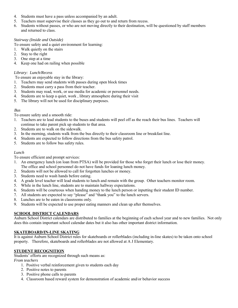- 4. Students must have a pass unless accompanied by an adult.
- 5. Teachers must supervise their classes as they go out to and return from recess.
- 6. Students without passes, or who are not moving directly to their destination, will be questioned by staff members and returned to class.

## *Stairway (Inside and Outside)*

To ensure safety and a quiet environment for learning:

- 1. Walk quietly on the stairs
- 2. Stay to the right
- 3. One step at a time
- 4. Keep one had on railing when possible

## *Library: Lunch/Recess*

To ensure an enjoyable stay in the library:

- 1. Teachers may send students with passes during open block times
- 2. Students must carry a pass from their teacher.
- 3. Students may read, work, or use media for academic or personnel needs.
- 4. Students are to keep a quiet, work , library atmosphere during their visit
- 5. The library will not be used for disciplinary purposes.

## *Bus*

To ensure safety and a smooth ride:

- 1. Teachers are to lead students to the buses and students will peel off as the reach their bus lines. Teachers will continue to take parent pick up students to that area.
- 2. Students are to walk on the sidewalk.
- 3. In the morning, students walk from the bus directly to their classroom line or breakfast line.
- 4. Students are expected to follow directions from the bus safety patrol.
- 5. Students are to follow bus safety rules.

## *Lunch*

To ensure efficient and prompt services:

- 1. An emergency lunch (on loan from PTSA) will be provided for those who forget their lunch or lose their money. The office and school personnel do not have funds for loaning lunch money.
- 2. Students will not be allowed to call for forgotten lunches or money.
- 3. Students need to wash hands before eating.
- 4. A grade level teacher will lead students to lunch and remain with the group. Other teachers monitor room.
- 5. While in the lunch line, students are to maintain hallway expectations.
- 6. Students will be courteous when handing money to the lunch person or inputting their student ID number.
- 7. All students are expected to say "please" and "thank you" to the lunch servers.
- 8. Lunches are to be eaten in classrooms only.
- 9. Students will be expected to use proper eating manners and clean up after themselves.

## **SCHOOL DISTRICT CALENDARS**

Auburn School District calendars are distributed to families at the beginning of each school year and to new families. Not only does this contain important school calendar dates but it also has other important district information.

## **SKATEBOARD/IN-LINE SKATING**

It is against Auburn School District rules for skateboards or rollerblades (including in-line skates) to be taken onto school property. Therefore, skateboards and rollerblades are not allowed at A J Elementary.

## **STUDENT RECOGNITION**

Students' efforts are recognized through such means as:

*From teachers* 

- 1. Positive verbal reinforcement given to students each day
- 2. Positive notes to parents
- 3. Positive phone calls to parents
- 4. Classroom based reward system for demonstration of academic and/or behavior success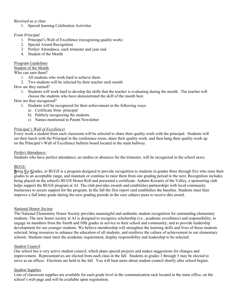## *Received as a class*

1. Special learning Celebration Activities

## *From Principal*

- 1. Principal's Wall of Excellence (recognizing quality work)
- 2. Special Award Recognition
- 3. Perfect Attendance, each trimester and year end.
- 4. Student of the Month

## *Program Guidelines*

## Student of the Month

Who can earn them?

- 1. All students who work hard to achieve them
- 2. Two students will be selected by their teacher each month

## How are they earned?

1. Students will work hard to develop the skills that the teacher is evaluating during the month. The teacher will choose the students who have demonstrated the skill of the month best.

How are they recognized?

- 1. Students will be recognized for their achievement in the following ways:
	- a) Certificate from principal
	- b) Publicly recognizing the students.
	- c) Names mentioned in Parent Newsletter

## *Principal's Wall of Excellence***:**

Every week a student from each classroom will be selected to share their quality work with the principal. Students will eat their lunch with the Principal in the conference room, share their quality work, and then hang their quality work up on the Principal's Wall of Excellence bulletin board located in the main hallway.

## *Perfect Attendance:*

Students who have perfect attendance, no tardies or absences for the trimester, will be recognized in the school news.

## *BUGS:*

**B**ring **U**p **G**rades, or BUGS is a program designed to provide recognition to students in grades three through five who raise their grades to an acceptable range, and maintain or continue to raise them from one grading period to the next. Recognition includes being placed on the school's BUGS Honor Roll and presented a certificate. Auburn Kiwanis of the Valley, a sponsoring club helps support the BUGS program at AJ. The club provides awards and establishes partnerships with local community businesses to secure support for the program. In the fall the first report card establishes the baseline. Students must then improve a full letter grade during the next grading periods in the core subject areas to receive this award.

## *National Honor Society*

The National Elementary Honor Society provides meaningful and authentic student recognition for outstanding elementary students. The new honor society at AJ is designed to recognize scholarship (*i.e*., academic excellence) and responsibility; to engage its members from the fourth and fifth grades in service to their school and community; and to provide leadership development for our younger students. We believe membership will strengthen the learning skills and lives of those students selected, bring resources to enhance the education of all students, and reinforce the culture of achievement in our elementary schools. Students must meet the academic requirement, display responsibility and leadership to be selected.

## *Student Council*

Our school has a very active student council, which plans special projects and makes suggestions for changes and improvement. Representatives are elected from each class in the fall. Students in grades 3 through 5 may be elected to serve as an officer. Elections are held in the fall. You will hear more about student council shortly after school begins.

## *Student Supplies*

Lists of classroom supplies are available for each grade level in the communication rack located in the main office, on the school's web page and will be available upon registration.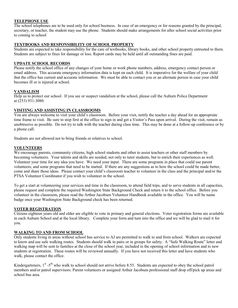### **TELEPHONE USE**

The school telephones are to be used only for school business. In case of an emergency or for reasons granted by the principal, secretary, or teacher, the student may use the phone. Students should make arrangements for after school social activities prior to coming to school

## **TEXTBOOKS AND RESPONSIBILITY OF SCHOOL PROPERTY**

Students are expected to take responsibility for the care of textbooks, library books, and other school property entrusted to them. Students are subject to fines for damage or loss. Report cards may be held until all outstanding fines are paid.

#### **UPDATE SCHOOL RECORDS**

Please notify the school office of any changes of your home or work phone numbers, address, emergency contact person or email address. This accurate emergency information data is kept on each child. It is imperative for the welfare of your child that the office has current and accurate information. We must be able to contact you or an alternate person in case your child becomes ill or is injured at school.

#### **VANDALISM**

Help us to protect our school. If you see or suspect vandalism at the school, please call the Auburn Police Department at (253) 931-3080.

#### **VISITING AND ASSISTING IN CLASSROOMS**

You are always welcome to visit your child's classroom. Before your visit, notify the teacher a day ahead for an appropriate time frame to visit. Be sure to stop first at the office to sign in and get a Visitor's Pass upon arrival. During the visit, remain as unobtrusive as possible. Do not try to talk with the teacher during class time. This may be done at a follow-up conference or by a phone call.

Students are not allowed not to bring friends or relatives to school.

#### **VOLUNTEERS**

We encourage parents, community citizens, high school students and other to assist teachers or other staff members by becoming volunteers. Your talents and skills are needed, not only to tutor students, but to enrich their experiences as well. Volunteer your time for any idea you have. We need your input. There are some programs in place that could use parent volunteers, and some programs that need to be started. If there are any suggestions as to how the school could be made better, come and share those ideas. Please contact your child's classroom teacher to volunteer in the class and the principal and/or the PTSA Volunteer Coordinator if you wish to volunteer in the school.

To get a start at volunteering your services and time in the classroom, to attend field trips, and to serve students in all capacities, please request and complete the required Washington State Background Check and return it to the school office. Before you volunteer in the classroom, please read the Arthur Jacobsen Volunteer Handbook available in the office. You will be name badge once your Washington State Background check has been returned.

#### **VOTER REGISTRATION**

Citizens eighteen years old and older are eligible to vote in primary and general elections. Voter registration forms are available in each Auburn School and at the local library. Complete your form and turn into the office and we will be glad to mail it for you.

#### **WALKING TO AND FROM SCHOOL**

Only students living in areas without school bus service to AJ are permitted to walk to and from school. Walkers are expected to know and use safe walking routes. Students should walk in pairs or in groups for safety. A "Safe Walking Route" letter and walking map will be sent to families at the close of the school year, included in the opening of school information and to new students at registration. These routes will be reviewed annually. If you have not received this letter and have students who walk, please contact the office.

Kindergarteners,  $1^{st}$  -5<sup>th</sup> who walk to school should not arrive before 8:55. Students are expected to obey the school patrol members and/or patrol supervisors. Parent volunteers or assigned Arthur Jacobsen professional staff drop off/pick up areas and school bus area.